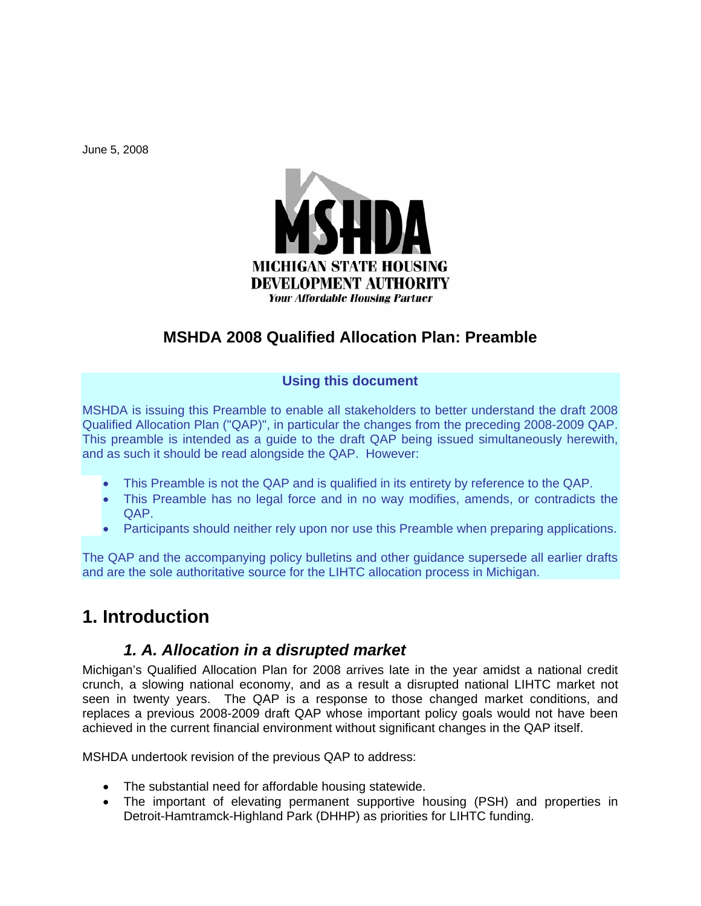June 5, 2008



# **MSHDA 2008 Qualified Allocation Plan: Preamble**

#### **Using this document**

MSHDA is issuing this Preamble to enable all stakeholders to better understand the draft 2008 Qualified Allocation Plan ("QAP)", in particular the changes from the preceding 2008-2009 QAP. This preamble is intended as a guide to the draft QAP being issued simultaneously herewith, and as such it should be read alongside the QAP. However:

- This Preamble is not the QAP and is qualified in its entirety by reference to the QAP.
- This Preamble has no legal force and in no way modifies, amends, or contradicts the QAP.
- Participants should neither rely upon nor use this Preamble when preparing applications.

The QAP and the accompanying policy bulletins and other guidance supersede all earlier drafts and are the sole authoritative source for the LIHTC allocation process in Michigan.

# **1. Introduction**

### *1. A. Allocation in a disrupted market*

Michigan's Qualified Allocation Plan for 2008 arrives late in the year amidst a national credit crunch, a slowing national economy, and as a result a disrupted national LIHTC market not seen in twenty years. The QAP is a response to those changed market conditions, and replaces a previous 2008-2009 draft QAP whose important policy goals would not have been achieved in the current financial environment without significant changes in the QAP itself.

MSHDA undertook revision of the previous QAP to address:

- The substantial need for affordable housing statewide.
- The important of elevating permanent supportive housing (PSH) and properties in Detroit-Hamtramck-Highland Park (DHHP) as priorities for LIHTC funding.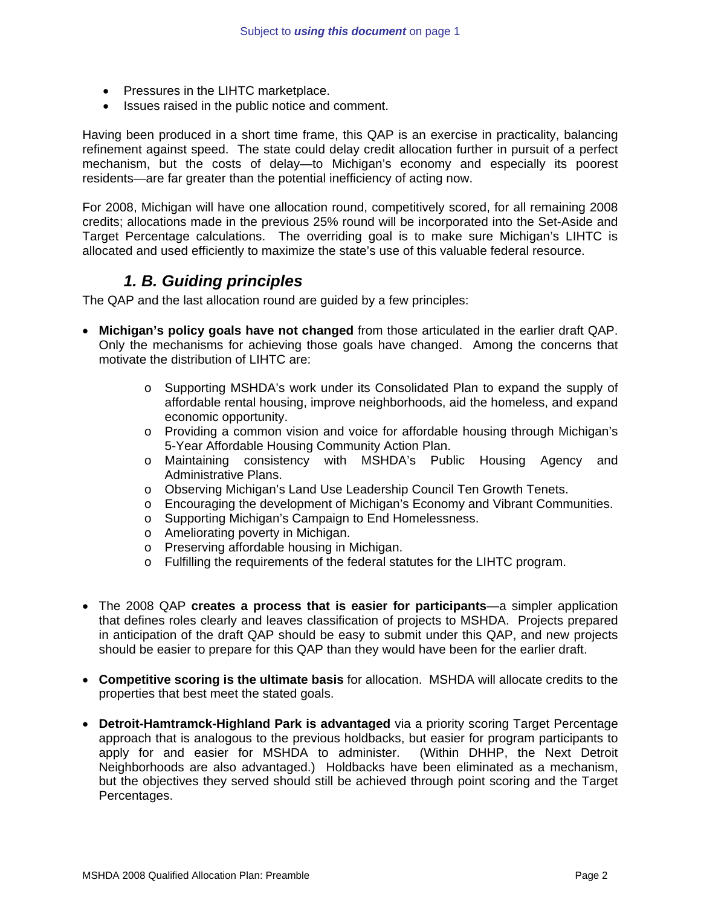- Pressures in the LIHTC marketplace.
- Issues raised in the public notice and comment.

Having been produced in a short time frame, this QAP is an exercise in practicality, balancing refinement against speed. The state could delay credit allocation further in pursuit of a perfect mechanism, but the costs of delay—to Michigan's economy and especially its poorest residents—are far greater than the potential inefficiency of acting now.

For 2008, Michigan will have one allocation round, competitively scored, for all remaining 2008 credits; allocations made in the previous 25% round will be incorporated into the Set-Aside and Target Percentage calculations. The overriding goal is to make sure Michigan's LIHTC is allocated and used efficiently to maximize the state's use of this valuable federal resource.

## *1. B. Guiding principles*

The QAP and the last allocation round are guided by a few principles:

- **Michigan's policy goals have not changed** from those articulated in the earlier draft QAP. Only the mechanisms for achieving those goals have changed. Among the concerns that motivate the distribution of LIHTC are:
	- o Supporting MSHDA's work under its Consolidated Plan to expand the supply of affordable rental housing, improve neighborhoods, aid the homeless, and expand economic opportunity.
	- o Providing a common vision and voice for affordable housing through Michigan's 5-Year Affordable Housing Community Action Plan.
	- o Maintaining consistency with MSHDA's Public Housing Agency and Administrative Plans.
	- o Observing Michigan's Land Use Leadership Council Ten Growth Tenets.
	- o Encouraging the development of Michigan's Economy and Vibrant Communities.
	- o Supporting Michigan's Campaign to End Homelessness.
	- o Ameliorating poverty in Michigan.
	- o Preserving affordable housing in Michigan.
	- o Fulfilling the requirements of the federal statutes for the LIHTC program.
- The 2008 QAP **creates a process that is easier for participants**—a simpler application that defines roles clearly and leaves classification of projects to MSHDA. Projects prepared in anticipation of the draft QAP should be easy to submit under this QAP, and new projects should be easier to prepare for this QAP than they would have been for the earlier draft.
- **Competitive scoring is the ultimate basis** for allocation. MSHDA will allocate credits to the properties that best meet the stated goals.
- **Detroit-Hamtramck-Highland Park is advantaged** via a priority scoring Target Percentage approach that is analogous to the previous holdbacks, but easier for program participants to apply for and easier for MSHDA to administer. (Within DHHP, the Next Detroit Neighborhoods are also advantaged.) Holdbacks have been eliminated as a mechanism, but the objectives they served should still be achieved through point scoring and the Target Percentages.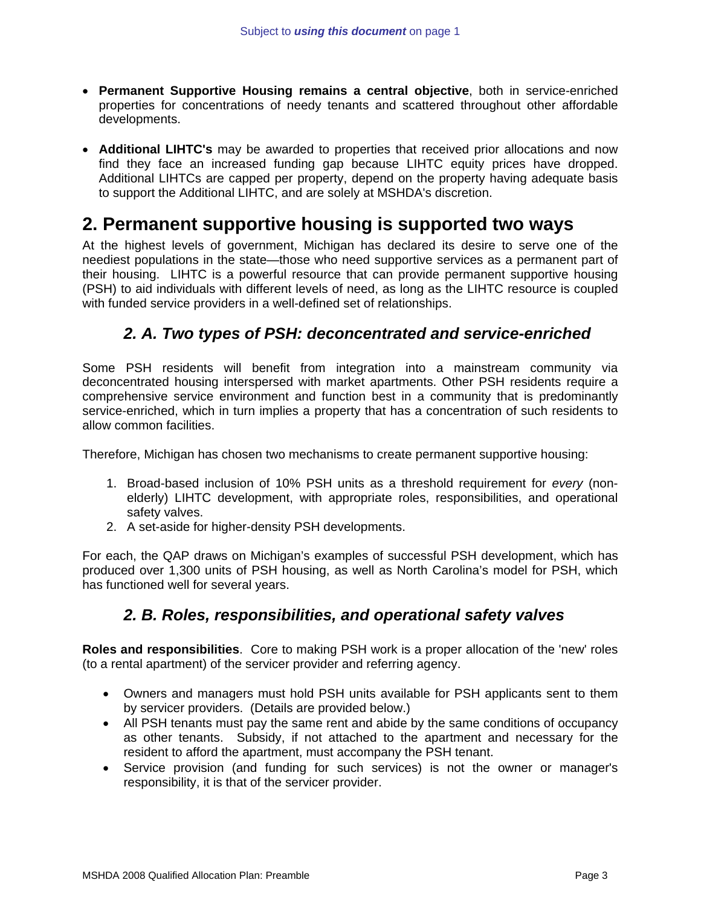- **Permanent Supportive Housing remains a central objective**, both in service-enriched properties for concentrations of needy tenants and scattered throughout other affordable developments.
- **Additional LIHTC's** may be awarded to properties that received prior allocations and now find they face an increased funding gap because LIHTC equity prices have dropped. Additional LIHTCs are capped per property, depend on the property having adequate basis to support the Additional LIHTC, and are solely at MSHDA's discretion.

# **2. Permanent supportive housing is supported two ways**

At the highest levels of government, Michigan has declared its desire to serve one of the neediest populations in the state—those who need supportive services as a permanent part of their housing. LIHTC is a powerful resource that can provide permanent supportive housing (PSH) to aid individuals with different levels of need, as long as the LIHTC resource is coupled with funded service providers in a well-defined set of relationships.

## *2. A. Two types of PSH: deconcentrated and service-enriched*

Some PSH residents will benefit from integration into a mainstream community via deconcentrated housing interspersed with market apartments. Other PSH residents require a comprehensive service environment and function best in a community that is predominantly service-enriched, which in turn implies a property that has a concentration of such residents to allow common facilities.

Therefore, Michigan has chosen two mechanisms to create permanent supportive housing:

- 1. Broad-based inclusion of 10% PSH units as a threshold requirement for *every* (nonelderly) LIHTC development, with appropriate roles, responsibilities, and operational safety valves.
- 2. A set-aside for higher-density PSH developments.

For each, the QAP draws on Michigan's examples of successful PSH development, which has produced over 1,300 units of PSH housing, as well as North Carolina's model for PSH, which has functioned well for several years.

## *2. B. Roles, responsibilities, and operational safety valves*

**Roles and responsibilities**. Core to making PSH work is a proper allocation of the 'new' roles (to a rental apartment) of the servicer provider and referring agency.

- Owners and managers must hold PSH units available for PSH applicants sent to them by servicer providers. (Details are provided below.)
- All PSH tenants must pay the same rent and abide by the same conditions of occupancy as other tenants. Subsidy, if not attached to the apartment and necessary for the resident to afford the apartment, must accompany the PSH tenant.
- Service provision (and funding for such services) is not the owner or manager's responsibility, it is that of the servicer provider.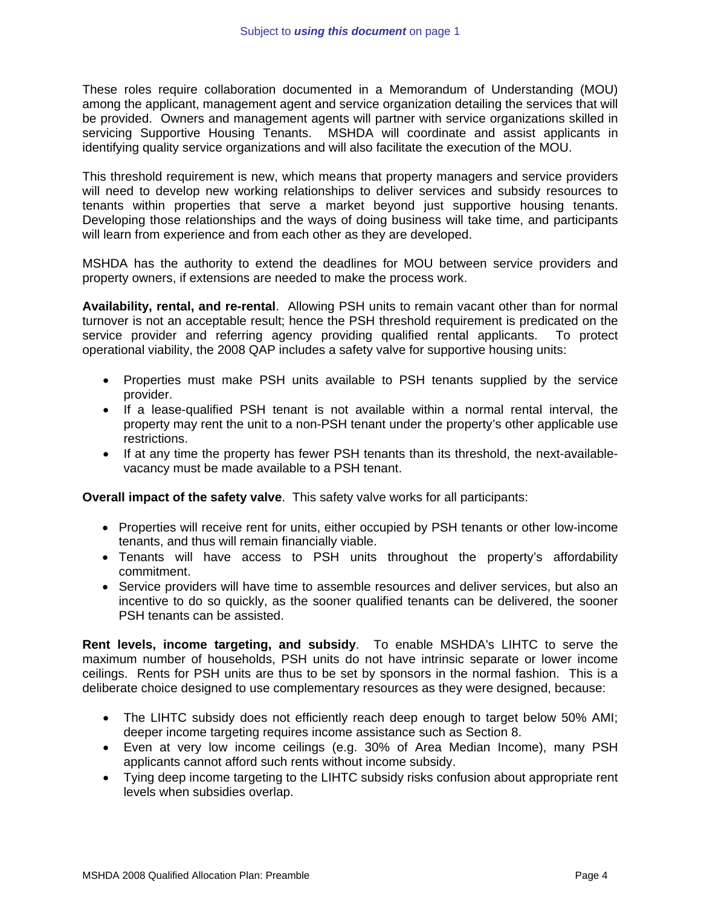These roles require collaboration documented in a Memorandum of Understanding (MOU) among the applicant, management agent and service organization detailing the services that will be provided. Owners and management agents will partner with service organizations skilled in servicing Supportive Housing Tenants. MSHDA will coordinate and assist applicants in identifying quality service organizations and will also facilitate the execution of the MOU.

This threshold requirement is new, which means that property managers and service providers will need to develop new working relationships to deliver services and subsidy resources to tenants within properties that serve a market beyond just supportive housing tenants. Developing those relationships and the ways of doing business will take time, and participants will learn from experience and from each other as they are developed.

MSHDA has the authority to extend the deadlines for MOU between service providers and property owners, if extensions are needed to make the process work.

**Availability, rental, and re-rental**. Allowing PSH units to remain vacant other than for normal turnover is not an acceptable result; hence the PSH threshold requirement is predicated on the service provider and referring agency providing qualified rental applicants. To protect operational viability, the 2008 QAP includes a safety valve for supportive housing units:

- Properties must make PSH units available to PSH tenants supplied by the service provider.
- If a lease-qualified PSH tenant is not available within a normal rental interval, the property may rent the unit to a non-PSH tenant under the property's other applicable use restrictions.
- If at any time the property has fewer PSH tenants than its threshold, the next-availablevacancy must be made available to a PSH tenant.

**Overall impact of the safety valve**. This safety valve works for all participants:

- Properties will receive rent for units, either occupied by PSH tenants or other low-income tenants, and thus will remain financially viable.
- Tenants will have access to PSH units throughout the property's affordability commitment.
- Service providers will have time to assemble resources and deliver services, but also an incentive to do so quickly, as the sooner qualified tenants can be delivered, the sooner PSH tenants can be assisted.

**Rent levels, income targeting, and subsidy**. To enable MSHDA's LIHTC to serve the maximum number of households, PSH units do not have intrinsic separate or lower income ceilings. Rents for PSH units are thus to be set by sponsors in the normal fashion. This is a deliberate choice designed to use complementary resources as they were designed, because:

- The LIHTC subsidy does not efficiently reach deep enough to target below 50% AMI; deeper income targeting requires income assistance such as Section 8.
- Even at very low income ceilings (e.g. 30% of Area Median Income), many PSH applicants cannot afford such rents without income subsidy.
- Tying deep income targeting to the LIHTC subsidy risks confusion about appropriate rent levels when subsidies overlap.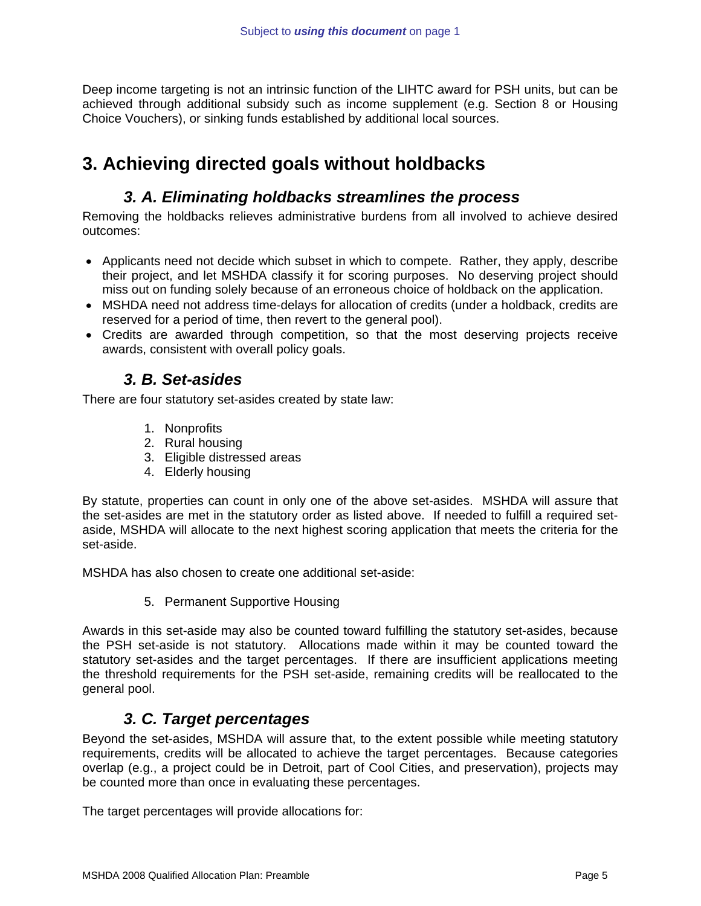Deep income targeting is not an intrinsic function of the LIHTC award for PSH units, but can be achieved through additional subsidy such as income supplement (e.g. Section 8 or Housing Choice Vouchers), or sinking funds established by additional local sources.

# **3. Achieving directed goals without holdbacks**

## *3. A. Eliminating holdbacks streamlines the process*

Removing the holdbacks relieves administrative burdens from all involved to achieve desired outcomes:

- Applicants need not decide which subset in which to compete. Rather, they apply, describe their project, and let MSHDA classify it for scoring purposes. No deserving project should miss out on funding solely because of an erroneous choice of holdback on the application.
- MSHDA need not address time-delays for allocation of credits (under a holdback, credits are reserved for a period of time, then revert to the general pool).
- Credits are awarded through competition, so that the most deserving projects receive awards, consistent with overall policy goals.

### *3. B. Set-asides*

There are four statutory set-asides created by state law:

- 1. Nonprofits
- 2. Rural housing
- 3. Eligible distressed areas
- 4. Elderly housing

By statute, properties can count in only one of the above set-asides. MSHDA will assure that the set-asides are met in the statutory order as listed above. If needed to fulfill a required setaside, MSHDA will allocate to the next highest scoring application that meets the criteria for the set-aside.

MSHDA has also chosen to create one additional set-aside:

5. Permanent Supportive Housing

Awards in this set-aside may also be counted toward fulfilling the statutory set-asides, because the PSH set-aside is not statutory. Allocations made within it may be counted toward the statutory set-asides and the target percentages. If there are insufficient applications meeting the threshold requirements for the PSH set-aside, remaining credits will be reallocated to the general pool.

### *3. C. Target percentages*

Beyond the set-asides, MSHDA will assure that, to the extent possible while meeting statutory requirements, credits will be allocated to achieve the target percentages. Because categories overlap (e.g., a project could be in Detroit, part of Cool Cities, and preservation), projects may be counted more than once in evaluating these percentages.

The target percentages will provide allocations for: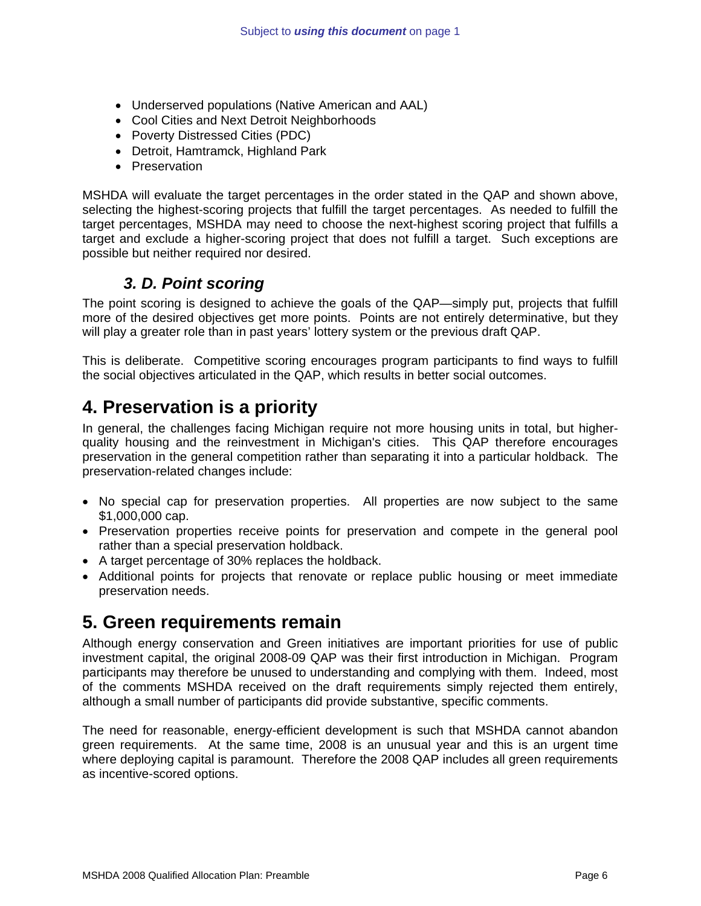- Underserved populations (Native American and AAL)
- Cool Cities and Next Detroit Neighborhoods
- Poverty Distressed Cities (PDC)
- Detroit, Hamtramck, Highland Park
- Preservation

MSHDA will evaluate the target percentages in the order stated in the QAP and shown above, selecting the highest-scoring projects that fulfill the target percentages. As needed to fulfill the target percentages, MSHDA may need to choose the next-highest scoring project that fulfills a target and exclude a higher-scoring project that does not fulfill a target. Such exceptions are possible but neither required nor desired.

### *3. D. Point scoring*

The point scoring is designed to achieve the goals of the QAP—simply put, projects that fulfill more of the desired objectives get more points. Points are not entirely determinative, but they will play a greater role than in past years' lottery system or the previous draft QAP.

This is deliberate. Competitive scoring encourages program participants to find ways to fulfill the social objectives articulated in the QAP, which results in better social outcomes.

# **4. Preservation is a priority**

In general, the challenges facing Michigan require not more housing units in total, but higherquality housing and the reinvestment in Michigan's cities. This QAP therefore encourages preservation in the general competition rather than separating it into a particular holdback. The preservation-related changes include:

- No special cap for preservation properties. All properties are now subject to the same \$1,000,000 cap.
- Preservation properties receive points for preservation and compete in the general pool rather than a special preservation holdback.
- A target percentage of 30% replaces the holdback.
- Additional points for projects that renovate or replace public housing or meet immediate preservation needs.

# **5. Green requirements remain**

Although energy conservation and Green initiatives are important priorities for use of public investment capital, the original 2008-09 QAP was their first introduction in Michigan. Program participants may therefore be unused to understanding and complying with them. Indeed, most of the comments MSHDA received on the draft requirements simply rejected them entirely, although a small number of participants did provide substantive, specific comments.

The need for reasonable, energy-efficient development is such that MSHDA cannot abandon green requirements. At the same time, 2008 is an unusual year and this is an urgent time where deploying capital is paramount. Therefore the 2008 QAP includes all green requirements as incentive-scored options.